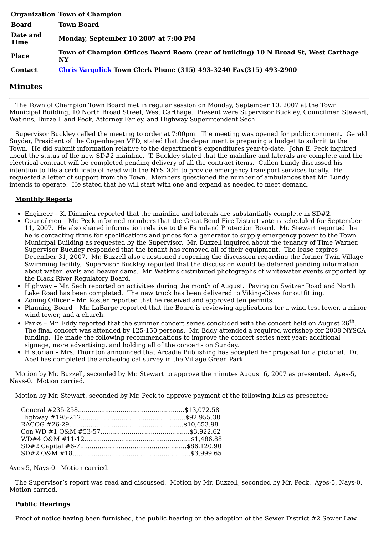|                         | <b>Organization Town of Champion</b>                                                      |
|-------------------------|-------------------------------------------------------------------------------------------|
| Board                   | <b>Town Board</b>                                                                         |
| Date and<br><b>Time</b> | Monday, September 10 2007 at 7:00 PM                                                      |
| <b>Place</b>            | Town of Champion Offices Board Room (rear of building) 10 N Broad St, West Carthage<br>NY |
| <b>Contact</b>          | Chris Vargulick Town Clerk Phone (315) 493-3240 Fax(315) 493-2900                         |

# **Minutes**

The Town of Champion Town Board met in regular session on Monday, September 10, 2007 at the Town Municipal Building, 10 North Broad Street, West Carthage. Present were Supervisor Buckley, Councilmen Stewart, Watkins, Buzzell, and Peck, Attorney Farley, and Highway Superintendent Sech.

Supervisor Buckley called the meeting to order at 7:00pm. The meeting was opened for public comment. Gerald Snyder, President of the Copenhagen VFD, stated that the department is preparing a budget to submit to the Town. He did submit information relative to the department's expenditures year-to-date. John E. Peck inquired about the status of the new SD#2 mainline. T. Buckley stated that the mainline and laterals are complete and the electrical contract will be completed pending delivery of all the contract items. Cullen Lundy discussed his intention to file a certificate of need with the NYSDOH to provide emergency transport services locally. He requested a letter of support from the Town. Members questioned the number of ambulances that Mr. Lundy intends to operate. He stated that he will start with one and expand as needed to meet demand.

## **Monthly Reports**

- Engineer K. Dimmick reported that the mainline and laterals are substantially complete in SD#2.
- Councilmen Mr. Peck informed members that the Great Bend Fire District vote is scheduled for September 11, 2007. He also shared information relative to the Farmland Protection Board. Mr. Stewart reported that he is contacting firms for specifications and prices for a generator to supply emergency power to the Town Municipal Building as requested by the Supervisor. Mr. Buzzell inquired about the tenancy of Time Warner. Supervisor Buckley responded that the tenant has removed all of their equipment. The lease expires December 31, 2007. Mr. Buzzell also questioned reopening the discussion regarding the former Twin Village Swimming facility. Supervisor Buckley reported that the discussion would be deferred pending information about water levels and beaver dams. Mr. Watkins distributed photographs of whitewater events supported by the Black River Regulatory Board.
- Highway Mr. Sech reported on activities during the month of August. Paving on Switzer Road and North Lake Road has been completed. The new truck has been delivered to Viking-Cives for outfitting.
- Zoning Officer Mr. Koster reported that he received and approved ten permits.
- Planning Board Mr. LaBarge reported that the Board is reviewing applications for a wind test tower, a minor wind tower, and a church.
- Parks Mr. Eddy reported that the summer concert series concluded with the concert held on August 26<sup>th</sup>. The final concert was attended by 125-150 persons. Mr. Eddy attended a required workshop for 2008 NYSCA funding. He made the following recommendations to improve the concert series next year: additional signage, more advertising, and holding all of the concerts on Sunday.
- $\bullet$ Historian – Mrs. Thornton announced that Arcadia Publishing has accepted her proposal for a pictorial. Dr. Abel has completed the archeological survey in the Village Green Park.

Motion by Mr. Buzzell, seconded by Mr. Stewart to approve the minutes August 6, 2007 as presented. Ayes-5, Nays-0. Motion carried.

Motion by Mr. Stewart, seconded by Mr. Peck to approve payment of the following bills as presented:

Ayes-5, Nays-0. Motion carried.

The Supervisor's report was read and discussed. Motion by Mr. Buzzell, seconded by Mr. Peck. Ayes-5, Nays-0. Motion carried.

### **Public Hearings**

Proof of notice having been furnished, the public hearing on the adoption of the Sewer District #2 Sewer Law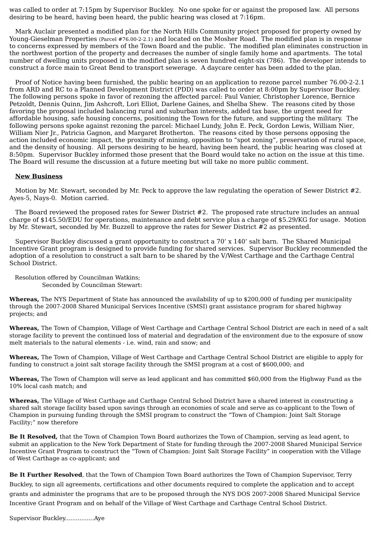was called to order at 7:15pm by Supervisor Buckley. No one spoke for or against the proposed law. All persons desiring to be heard, having been heard, the public hearing was closed at 7:16pm.

Mark Auclair presented a modified plan for the North Hills Community project proposed for property owned by Young-Gieselman Properties (Parcel #76.00-2-2.1) and located on the Mosher Road. The modified plan is in response to concerns expressed by members of the Town Board and the public. The modified plan eliminates construction in the northwest portion of the property and decreases the number of single family home and apartments. The total number of dwelling units proposed in the modified plan is seven hundred eight-six (786). The developer intends to construct a force main to Great Bend to transport sewerage. A daycare center has been added to the plan.

Proof of Notice having been furnished, the public hearing on an application to rezone parcel number 76.00-2-2.1 from ARD and RC to a Planned Development District (PDD) was called to order at 8:00pm by Supervisor Buckley. The following persons spoke in favor of rezoning the affected parcel: Paul Vanier, Christopher Lorence, Bernice Petzoldt, Dennis Quinn, Jim Ashcroft, Lori Elliot, Darlene Gaines, and Shelba Shew. The reasons cited by those favoring the proposal included balancing rural and suburban interests, added tax base, the urgent need for affordable housing, safe housing concerns, positioning the Town for the future, and supporting the military. The following persons spoke against rezoning the parcel: Michael Lundy, John E. Peck, Gordon Lewis, William Nier, William Nier Jr., Patricia Gagnon, and Margaret Brotherton. The reasons cited by those persons opposing the action included economic impact, the proximity of mining, opposition to "spot zoning", preservation of rural space, and the density of housing. All persons desiring to be heard, having been heard, the public hearing was closed at 8:50pm. Supervisor Buckley informed those present that the Board would take no action on the issue at this time. The Board will resume the discussion at a future meeting but will take no more public comment.

### **New Business**

Motion by Mr. Stewart, seconded by Mr. Peck to approve the law regulating the operation of Sewer District #2. Ayes-5, Nays-0. Motion carried.

The Board reviewed the proposed rates for Sewer District #2. The proposed rate structure includes an annual charge of \$145.50/EDU for operations, maintenance and debt service plus a charge of \$5.29/KG for usage. Motion by Mr. Stewart, seconded by Mr. Buzzell to approve the rates for Sewer District #2 as presented.

Supervisor Buckley discussed a grant opportunity to construct a 70' x 140' salt barn. The Shared Municipal Incentive Grant program is designed to provide funding for shared services. Supervisor Buckley recommended the adoption of a resolution to construct a salt barn to be shared by the V/West Carthage and the Carthage Central School District.

Resolution offered by Councilman Watkins; Seconded by Councilman Stewart:

**Whereas,** The NYS Department of State has announced the availability of up to \$200,000 of funding per municipality through the 2007-2008 Shared Municipal Services Incentive (SMSI) grant assistance program for shared highway projects; and

**Whereas,** The Town of Champion, Village of West Carthage and Carthage Central School District are each in need of a salt storage facility to prevent the continued loss of material and degradation of the environment due to the exposure of snow melt materials to the natural elements - i.e. wind, rain and snow; and

**Whereas,** The Town of Champion, Village of West Carthage and Carthage Central School District are eligible to apply for funding to construct a joint salt storage facility through the SMSI program at a cost of \$600,000; and

**Whereas,** The Town of Champion will serve as lead applicant and has committed \$60,000 from the Highway Fund as the 10% local cash match; and

**Whereas,** The Village of West Carthage and Carthage Central School District have a shared interest in constructing a shared salt storage facility based upon savings through an economies of scale and serve as co-applicant to the Town of Champion in pursuing funding through the SMSI program to construct the "Town of Champion: Joint Salt Storage Facility;" now therefore

**Be It Resolved,** that the Town of Champion Town Board authorizes the Town of Champion, serving as lead agent, to submit an application to the New York Department of State for funding through the 2007-2008 Shared Municipal Service Incentive Grant Program to construct the "Town of Champion: Joint Salt Storage Facility" in cooperation with the Village of West Carthage as co-applicant; and

**Be It Further Resolved**, that the Town of Champion Town Board authorizes the Town of Champion Supervisor, Terry Buckley, to sign all agreements, certifications and other documents required to complete the application and to accept grants and administer the programs that are to be proposed through the NYS DOS 2007-2008 Shared Municipal Service Incentive Grant Program and on behalf of the Village of West Carthage and Carthage Central School District.